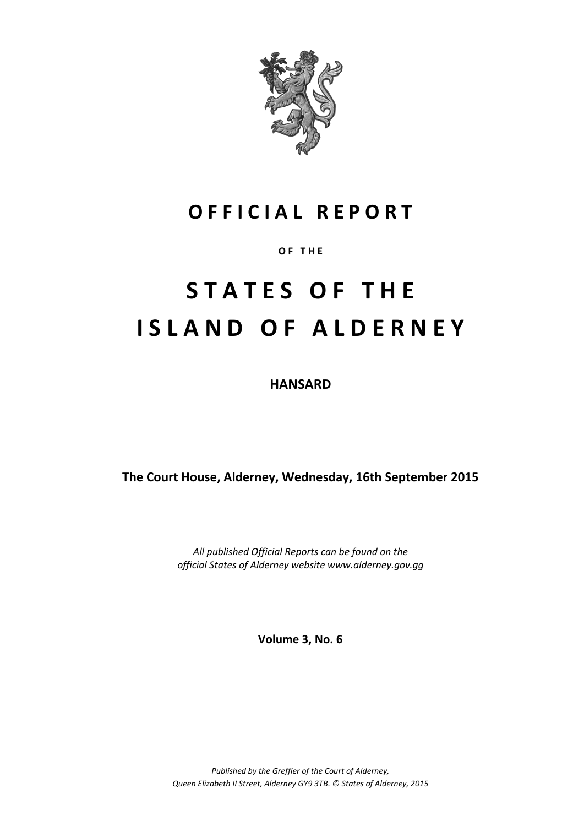

# **O F F I C I A L R E P O R T**

# **O F T H E**

# **S T A T E S O F T H E I S L A N D O F A L D E R N E Y**

**HANSARD**

**The Court House, Alderney, Wednesday, 16th September 2015**

*All published Official Reports can be found on the official States of Alderney website www.alderney.gov.gg*

**Volume 3, No. 6**

*Published by the Greffier of the Court of Alderney, Queen Elizabeth II Street, Alderney GY9 3TB. © States of Alderney, 2015*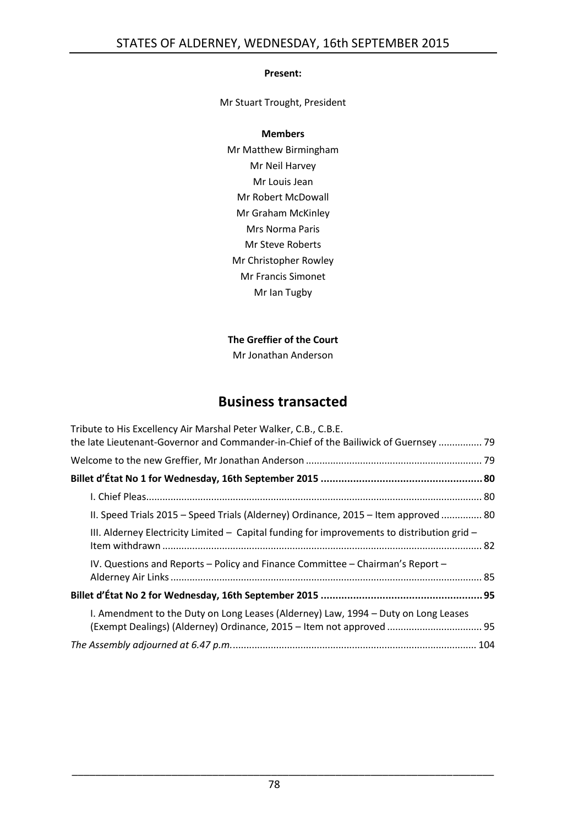#### **Present:**

Mr Stuart Trought, President

#### **Members**

Mr Matthew Birmingham Mr Neil Harvey Mr Louis Jean Mr Robert McDowall Mr Graham McKinley Mrs Norma Paris Mr Steve Roberts Mr Christopher Rowley Mr Francis Simonet Mr Ian Tugby

## **The Greffier of the Court**

Mr Jonathan Anderson

# **Business transacted**

| Tribute to His Excellency Air Marshal Peter Walker, C.B., C.B.E.                                                                                           |  |
|------------------------------------------------------------------------------------------------------------------------------------------------------------|--|
| the late Lieutenant-Governor and Commander-in-Chief of the Bailiwick of Guernsey  79                                                                       |  |
|                                                                                                                                                            |  |
|                                                                                                                                                            |  |
|                                                                                                                                                            |  |
| II. Speed Trials 2015 – Speed Trials (Alderney) Ordinance, 2015 – Item approved  80                                                                        |  |
| III. Alderney Electricity Limited $-$ Capital funding for improvements to distribution grid $-$                                                            |  |
| IV. Questions and Reports - Policy and Finance Committee - Chairman's Report -                                                                             |  |
|                                                                                                                                                            |  |
| I. Amendment to the Duty on Long Leases (Alderney) Law, 1994 - Duty on Long Leases<br>(Exempt Dealings) (Alderney) Ordinance, 2015 - Item not approved  95 |  |
|                                                                                                                                                            |  |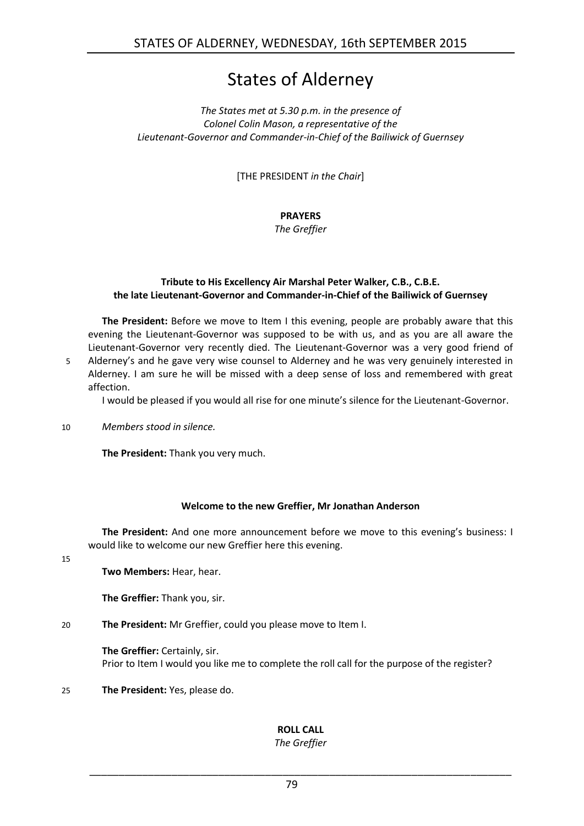# States of Alderney

#### *The States met at 5.30 p.m. in the presence of Colonel Colin Mason, a representative of the Lieutenant-Governor and Commander-in-Chief of the Bailiwick of Guernsey*

[THE PRESIDENT *in the Chair*]

# **PRAYERS**

*The Greffier*

#### <span id="page-2-0"></span>**Tribute to His Excellency Air Marshal Peter Walker, C.B., C.B.E. the late Lieutenant-Governor and Commander-in-Chief of the Bailiwick of Guernsey**

**The President:** Before we move to Item I this evening, people are probably aware that this evening the Lieutenant-Governor was supposed to be with us, and as you are all aware the Lieutenant-Governor very recently died. The Lieutenant-Governor was a very good friend of 5 Alderney's and he gave very wise counsel to Alderney and he was very genuinely interested in

Alderney. I am sure he will be missed with a deep sense of loss and remembered with great affection.

I would be pleased if you would all rise for one minute's silence for the Lieutenant-Governor.

10 *Members stood in silence.*

**The President:** Thank you very much.

## **Welcome to the new Greffier, Mr Jonathan Anderson**

<span id="page-2-1"></span>**The President:** And one more announcement before we move to this evening's business: I would like to welcome our new Greffier here this evening.

15

**Two Members:** Hear, hear.

**The Greffier:** Thank you, sir.

20 **The President:** Mr Greffier, could you please move to Item I.

**The Greffier:** Certainly, sir. Prior to Item I would you like me to complete the roll call for the purpose of the register?

25 **The President:** Yes, please do.

# **ROLL CALL**

*The Greffier*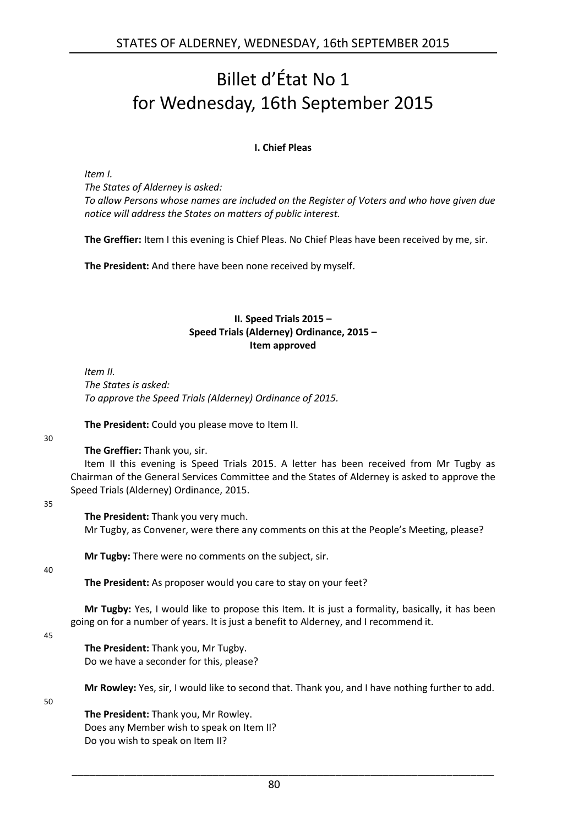# <span id="page-3-0"></span>Billet d'État No 1 for Wednesday, 16th September 2015

# **I. Chief Pleas**

<span id="page-3-1"></span>*Item I.*

*The States of Alderney is asked: To allow Persons whose names are included on the Register of Voters and who have given due notice will address the States on matters of public interest.*

**The Greffier:** Item I this evening is Chief Pleas. No Chief Pleas have been received by me, sir.

<span id="page-3-2"></span>**The President:** And there have been none received by myself.

#### **II. Speed Trials 2015 – Speed Trials (Alderney) Ordinance, 2015 – Item approved**

*Item II. The States is asked: To approve the Speed Trials (Alderney) Ordinance of 2015.*

**The President:** Could you please move to Item II.

30

**The Greffier:** Thank you, sir.

Item II this evening is Speed Trials 2015. A letter has been received from Mr Tugby as Chairman of the General Services Committee and the States of Alderney is asked to approve the Speed Trials (Alderney) Ordinance, 2015.

35

#### **The President:** Thank you very much.

Mr Tugby, as Convener, were there any comments on this at the People's Meeting, please?

**Mr Tugby:** There were no comments on the subject, sir.

40

**The President:** As proposer would you care to stay on your feet?

**Mr Tugby:** Yes, I would like to propose this Item. It is just a formality, basically, it has been going on for a number of years. It is just a benefit to Alderney, and I recommend it.

45

**The President:** Thank you, Mr Tugby. Do we have a seconder for this, please?

**Mr Rowley:** Yes, sir, I would like to second that. Thank you, and I have nothing further to add.

50

**The President:** Thank you, Mr Rowley. Does any Member wish to speak on Item II? Do you wish to speak on Item II?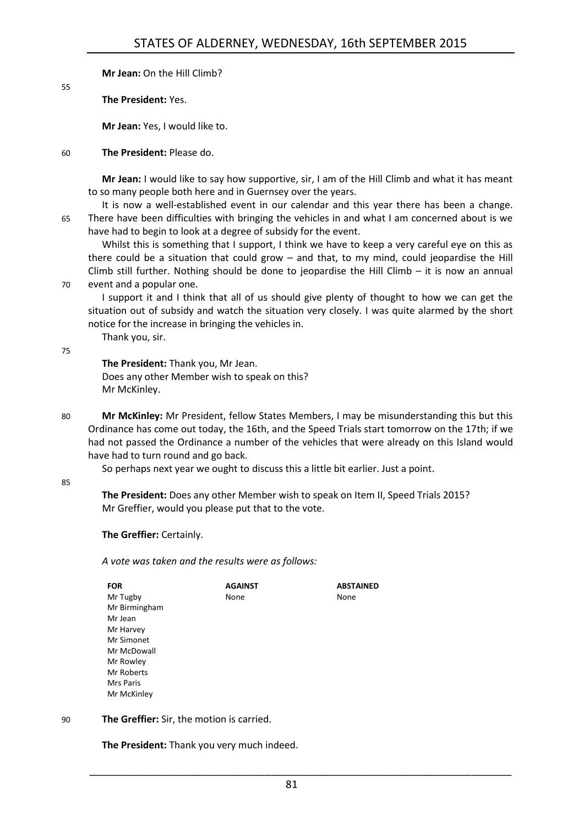**Mr Jean:** On the Hill Climb?

**The President:** Yes.

**Mr Jean:** Yes, I would like to.

#### 60 **The President:** Please do.

**Mr Jean:** I would like to say how supportive, sir, I am of the Hill Climb and what it has meant to so many people both here and in Guernsey over the years.

It is now a well-established event in our calendar and this year there has been a change. 65 There have been difficulties with bringing the vehicles in and what I am concerned about is we have had to begin to look at a degree of subsidy for the event.

Whilst this is something that I support, I think we have to keep a very careful eye on this as there could be a situation that could grow – and that, to my mind, could jeopardise the Hill Climb still further. Nothing should be done to jeopardise the Hill Climb  $-$  it is now an annual 70 event and a popular one.

I support it and I think that all of us should give plenty of thought to how we can get the situation out of subsidy and watch the situation very closely. I was quite alarmed by the short notice for the increase in bringing the vehicles in.

Thank you, sir.

75

55

**The President:** Thank you, Mr Jean. Does any other Member wish to speak on this? Mr McKinley.

80 **Mr McKinley:** Mr President, fellow States Members, I may be misunderstanding this but this Ordinance has come out today, the 16th, and the Speed Trials start tomorrow on the 17th; if we had not passed the Ordinance a number of the vehicles that were already on this Island would have had to turn round and go back.

So perhaps next year we ought to discuss this a little bit earlier. Just a point.

#### 85

**The President:** Does any other Member wish to speak on Item II, Speed Trials 2015? Mr Greffier, would you please put that to the vote.

**The Greffier:** Certainly.

*A vote was taken and the results were as follows:*

| FOR           | <b>AGAINST</b> | <b>ABSTAINED</b> |
|---------------|----------------|------------------|
| Mr Tugby      | None           | None             |
| Mr Birmingham |                |                  |
| Mr Jean       |                |                  |
| Mr Harvey     |                |                  |
| Mr Simonet    |                |                  |
| Mr McDowall   |                |                  |
| Mr Rowley     |                |                  |
| Mr Roberts    |                |                  |
| Mrs Paris     |                |                  |
| Mr McKinley   |                |                  |

#### 90 **The Greffier:** Sir, the motion is carried.

**The President:** Thank you very much indeed.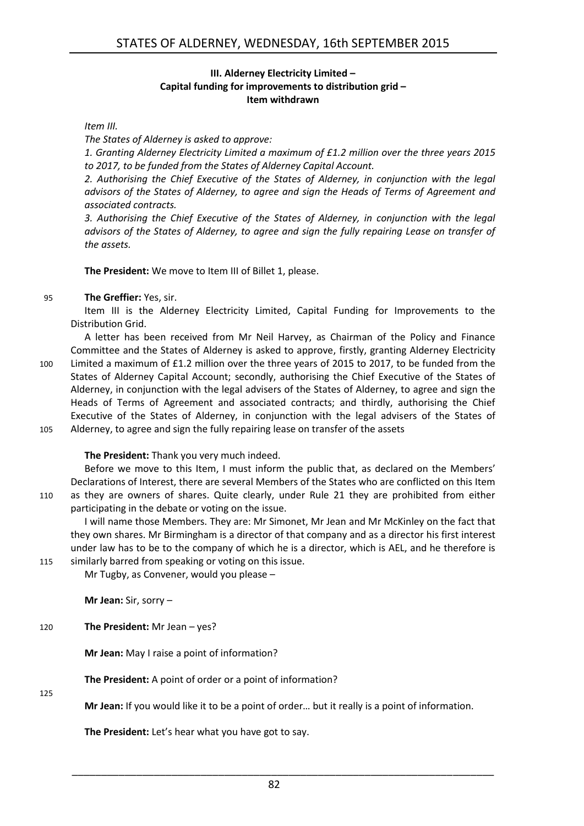#### **III. Alderney Electricity Limited – Capital funding for improvements to distribution grid – Item withdrawn**

#### <span id="page-5-0"></span>*Item III.*

*The States of Alderney is asked to approve:*

*1. Granting Alderney Electricity Limited a maximum of £1.2 million over the three years 2015 to 2017, to be funded from the States of Alderney Capital Account.*

*2. Authorising the Chief Executive of the States of Alderney, in conjunction with the legal advisors of the States of Alderney, to agree and sign the Heads of Terms of Agreement and associated contracts.*

*3. Authorising the Chief Executive of the States of Alderney, in conjunction with the legal advisors of the States of Alderney, to agree and sign the fully repairing Lease on transfer of the assets.*

**The President:** We move to Item III of Billet 1, please.

#### 95 **The Greffier:** Yes, sir.

Item III is the Alderney Electricity Limited, Capital Funding for Improvements to the Distribution Grid.

A letter has been received from Mr Neil Harvey, as Chairman of the Policy and Finance Committee and the States of Alderney is asked to approve, firstly, granting Alderney Electricity 100 Limited a maximum of £1.2 million over the three years of 2015 to 2017, to be funded from the States of Alderney Capital Account; secondly, authorising the Chief Executive of the States of Alderney, in conjunction with the legal advisers of the States of Alderney, to agree and sign the Heads of Terms of Agreement and associated contracts; and thirdly, authorising the Chief Executive of the States of Alderney, in conjunction with the legal advisers of the States of 105 Alderney, to agree and sign the fully repairing lease on transfer of the assets

## **The President:** Thank you very much indeed.

Before we move to this Item, I must inform the public that, as declared on the Members' Declarations of Interest, there are several Members of the States who are conflicted on this Item 110 as they are owners of shares. Quite clearly, under Rule 21 they are prohibited from either participating in the debate or voting on the issue.

I will name those Members. They are: Mr Simonet, Mr Jean and Mr McKinley on the fact that they own shares. Mr Birmingham is a director of that company and as a director his first interest under law has to be to the company of which he is a director, which is AEL, and he therefore is 115 similarly barred from speaking or voting on this issue.

Mr Tugby, as Convener, would you please –

**Mr Jean:** Sir, sorry –

## 120 **The President:** Mr Jean – yes?

**Mr Jean:** May I raise a point of information?

**The President:** A point of order or a point of information?

125

**Mr Jean:** If you would like it to be a point of order… but it really is a point of information.

**The President:** Let's hear what you have got to say.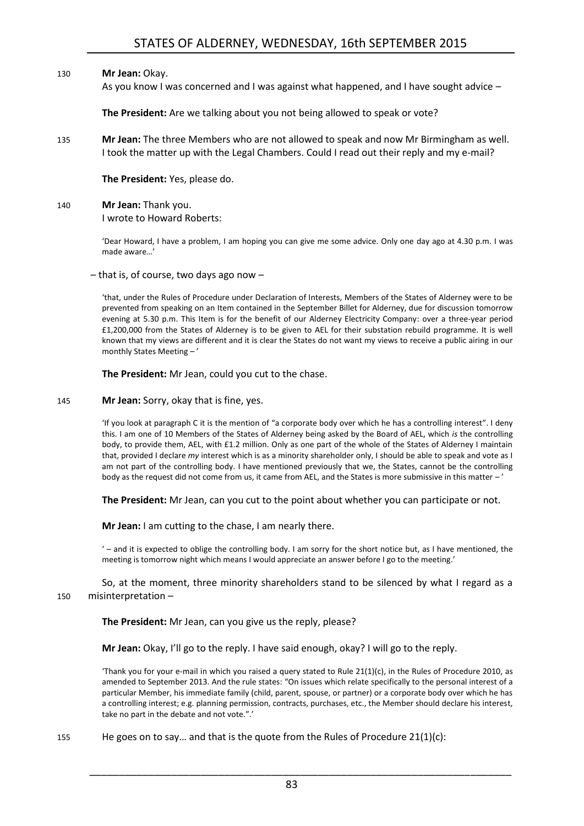#### 130 **Mr Jean:** Okay.

As you know I was concerned and I was against what happened, and I have sought advice –

**The President:** Are we talking about you not being allowed to speak or vote?

135 **Mr Jean:** The three Members who are not allowed to speak and now Mr Birmingham as well. I took the matter up with the Legal Chambers. Could I read out their reply and my e-mail?

**The President:** Yes, please do.

# 140 **Mr Jean:** Thank you.

I wrote to Howard Roberts:

'Dear Howard, I have a problem, I am hoping you can give me some advice. Only one day ago at 4.30 p.m. I was made aware…'

– that is, of course, two days ago now –

'that, under the Rules of Procedure under Declaration of Interests, Members of the States of Alderney were to be prevented from speaking on an Item contained in the September Billet for Alderney, due for discussion tomorrow evening at 5.30 p.m. This Item is for the benefit of our Alderney Electricity Company: over a three-year period £1,200,000 from the States of Alderney is to be given to AEL for their substation rebuild programme. It is well known that my views are different and it is clear the States do not want my views to receive a public airing in our monthly States Meeting – '

**The President:** Mr Jean, could you cut to the chase.

145 **Mr Jean:** Sorry, okay that is fine, yes.

'If you look at paragraph C it is the mention of "a corporate body over which he has a controlling interest". I deny this. I am one of 10 Members of the States of Alderney being asked by the Board of AEL, which *is* the controlling body, to provide them, AEL, with £1.2 million. Only as one part of the whole of the States of Alderney I maintain that, provided I declare *my* interest which is as a minority shareholder only, I should be able to speak and vote as I am not part of the controlling body. I have mentioned previously that we, the States, cannot be the controlling body as the request did not come from us, it came from AEL, and the States is more submissive in this matter -'

**The President:** Mr Jean, can you cut to the point about whether you can participate or not.

**Mr Jean:** I am cutting to the chase, I am nearly there.

' – and it is expected to oblige the controlling body. I am sorry for the short notice but, as I have mentioned, the meeting is tomorrow night which means I would appreciate an answer before I go to the meeting.'

So, at the moment, three minority shareholders stand to be silenced by what I regard as a 150 misinterpretation –

**The President:** Mr Jean, can you give us the reply, please?

**Mr Jean:** Okay, I'll go to the reply. I have said enough, okay? I will go to the reply.

'Thank you for your e-mail in which you raised a query stated to Rule 21(1)(c), in the Rules of Procedure 2010, as amended to September 2013. And the rule states: "On issues which relate specifically to the personal interest of a particular Member, his immediate family (child, parent, spouse, or partner) or a corporate body over which he has a controlling interest; e.g. planning permission, contracts, purchases, etc., the Member should declare his interest, take no part in the debate and not vote.".'

155 He goes on to say… and that is the quote from the Rules of Procedure 21(1)(c):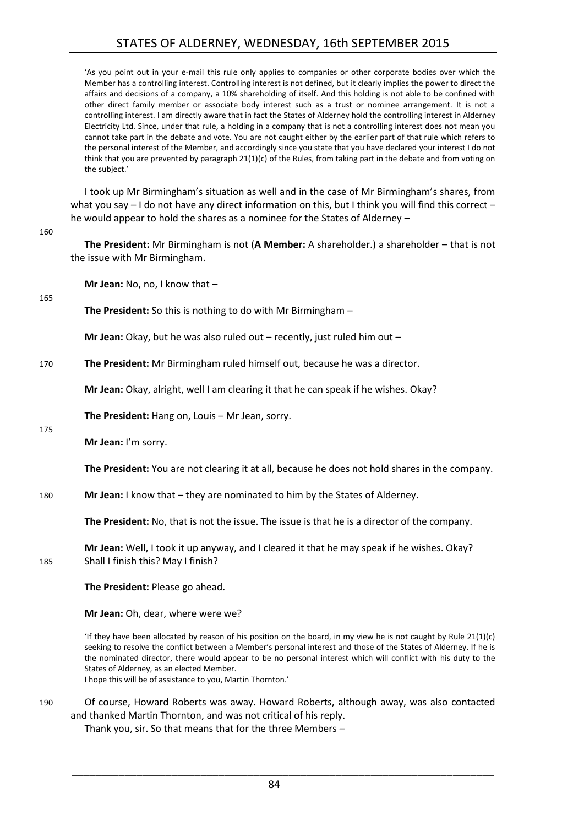'As you point out in your e-mail this rule only applies to companies or other corporate bodies over which the Member has a controlling interest. Controlling interest is not defined, but it clearly implies the power to direct the affairs and decisions of a company, a 10% shareholding of itself. And this holding is not able to be confined with other direct family member or associate body interest such as a trust or nominee arrangement. It is not a controlling interest. I am directly aware that in fact the States of Alderney hold the controlling interest in Alderney Electricity Ltd. Since, under that rule, a holding in a company that is not a controlling interest does not mean you cannot take part in the debate and vote. You are not caught either by the earlier part of that rule which refers to the personal interest of the Member, and accordingly since you state that you have declared your interest I do not think that you are prevented by paragraph 21(1)(c) of the Rules, from taking part in the debate and from voting on the subject.'

I took up Mr Birmingham's situation as well and in the case of Mr Birmingham's shares, from what you say – I do not have any direct information on this, but I think you will find this correct – he would appear to hold the shares as a nominee for the States of Alderney –

| 10U | The President: Mr Birmingham is not (A Member: A shareholder.) a shareholder - that is not<br>the issue with Mr Birmingham.      |
|-----|----------------------------------------------------------------------------------------------------------------------------------|
| 165 | Mr Jean: No, no, I know that $-$                                                                                                 |
|     | The President: So this is nothing to do with Mr Birmingham $-$                                                                   |
|     | Mr Jean: Okay, but he was also ruled out $-$ recently, just ruled him out $-$                                                    |
| 170 | The President: Mr Birmingham ruled himself out, because he was a director.                                                       |
|     | Mr Jean: Okay, alright, well I am clearing it that he can speak if he wishes. Okay?                                              |
|     | The President: Hang on, Louis - Mr Jean, sorry.                                                                                  |
| 175 | Mr Jean: I'm sorry.                                                                                                              |
|     | The President: You are not clearing it at all, because he does not hold shares in the company.                                   |
| 180 | Mr Jean: I know that - they are nominated to him by the States of Alderney.                                                      |
|     | The President: No, that is not the issue. The issue is that he is a director of the company.                                     |
| 185 | Mr Jean: Well, I took it up anyway, and I cleared it that he may speak if he wishes. Okay?<br>Shall I finish this? May I finish? |
|     | The President: Please go ahead.                                                                                                  |
|     | Mr Jean: Oh, dear, where were we?                                                                                                |

'If they have been allocated by reason of his position on the board, in my view he is not caught by Rule 21(1)(c) seeking to resolve the conflict between a Member's personal interest and those of the States of Alderney. If he is the nominated director, there would appear to be no personal interest which will conflict with his duty to the States of Alderney, as an elected Member.

I hope this will be of assistance to you, Martin Thornton.'

 $160$ 

190 Of course, Howard Roberts was away. Howard Roberts, although away, was also contacted and thanked Martin Thornton, and was not critical of his reply.

Thank you, sir. So that means that for the three Members *–*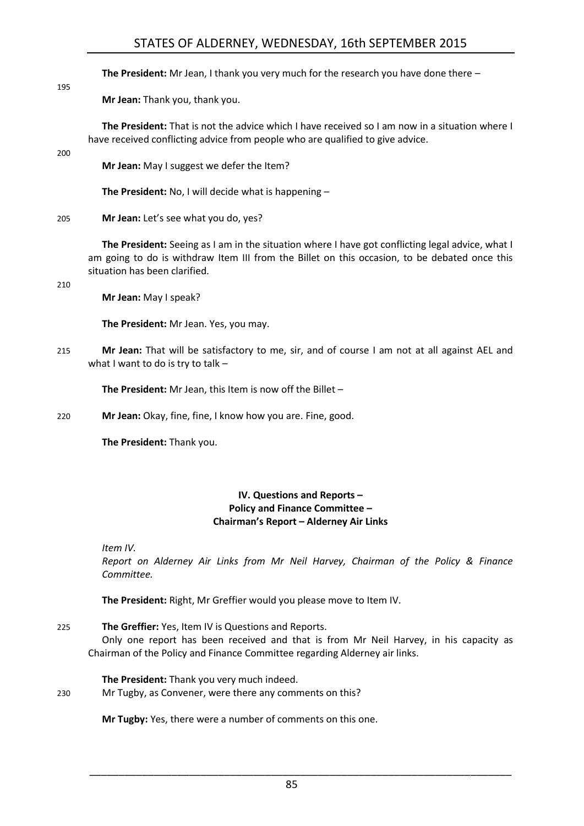# STATES OF ALDERNEY, WEDNESDAY, 16th SEPTEMBER 2015

**The President:** Mr Jean, I thank you very much for the research you have done there –

**Mr Jean:** Thank you, thank you.

**The President:** That is not the advice which I have received so I am now in a situation where I have received conflicting advice from people who are qualified to give advice.

#### 200

195

**Mr Jean:** May I suggest we defer the Item?

**The President:** No, I will decide what is happening –

205 **Mr Jean:** Let's see what you do, yes?

**The President:** Seeing as I am in the situation where I have got conflicting legal advice, what I am going to do is withdraw Item III from the Billet on this occasion, to be debated once this situation has been clarified.

210

**Mr Jean:** May I speak?

**The President:** Mr Jean. Yes, you may.

215 **Mr Jean:** That will be satisfactory to me, sir, and of course I am not at all against AEL and what I want to do is try to talk –

**The President:** Mr Jean, this Item is now off the Billet –

220 **Mr Jean:** Okay, fine, fine, I know how you are. Fine, good.

<span id="page-8-0"></span>**The President:** Thank you.

#### **IV. Questions and Reports – Policy and Finance Committee – Chairman's Report – Alderney Air Links**

*Item IV.*

*Report on Alderney Air Links from Mr Neil Harvey, Chairman of the Policy & Finance Committee.*

**The President:** Right, Mr Greffier would you please move to Item IV.

#### 225 **The Greffier:** Yes, Item IV is Questions and Reports.

Only one report has been received and that is from Mr Neil Harvey, in his capacity as Chairman of the Policy and Finance Committee regarding Alderney air links.

**The President:** Thank you very much indeed.

230 Mr Tugby, as Convener, were there any comments on this?

**Mr Tugby:** Yes, there were a number of comments on this one.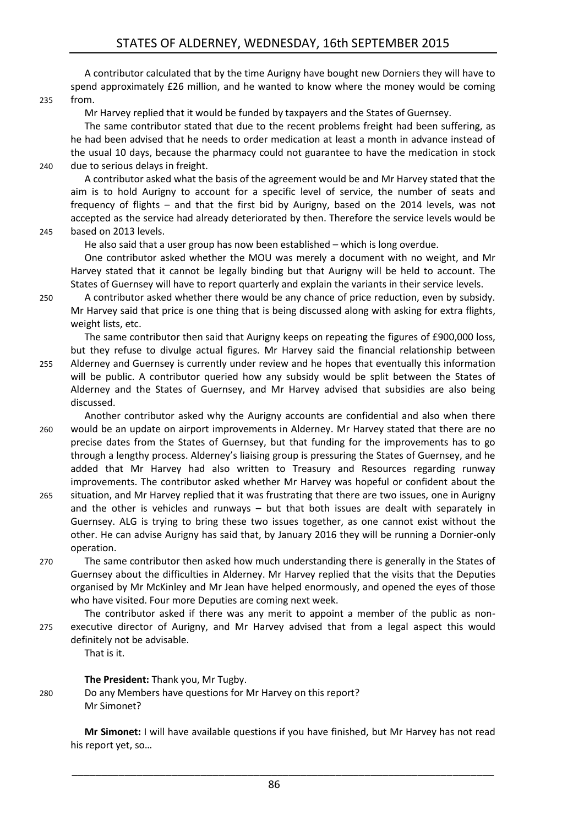A contributor calculated that by the time Aurigny have bought new Dorniers they will have to spend approximately £26 million, and he wanted to know where the money would be coming 235 from.

Mr Harvey replied that it would be funded by taxpayers and the States of Guernsey.

The same contributor stated that due to the recent problems freight had been suffering, as he had been advised that he needs to order medication at least a month in advance instead of the usual 10 days, because the pharmacy could not guarantee to have the medication in stock 240 due to serious delays in freight.

A contributor asked what the basis of the agreement would be and Mr Harvey stated that the aim is to hold Aurigny to account for a specific level of service, the number of seats and frequency of flights – and that the first bid by Aurigny, based on the 2014 levels, was not accepted as the service had already deteriorated by then. Therefore the service levels would be 245 based on 2013 levels.

He also said that a user group has now been established – which is long overdue.

One contributor asked whether the MOU was merely a document with no weight, and Mr Harvey stated that it cannot be legally binding but that Aurigny will be held to account. The States of Guernsey will have to report quarterly and explain the variants in their service levels.

250 A contributor asked whether there would be any chance of price reduction, even by subsidy. Mr Harvey said that price is one thing that is being discussed along with asking for extra flights, weight lists, etc.

The same contributor then said that Aurigny keeps on repeating the figures of £900,000 loss, but they refuse to divulge actual figures. Mr Harvey said the financial relationship between

- 255 Alderney and Guernsey is currently under review and he hopes that eventually this information will be public. A contributor queried how any subsidy would be split between the States of Alderney and the States of Guernsey, and Mr Harvey advised that subsidies are also being discussed.
- Another contributor asked why the Aurigny accounts are confidential and also when there 260 would be an update on airport improvements in Alderney. Mr Harvey stated that there are no precise dates from the States of Guernsey, but that funding for the improvements has to go through a lengthy process. Alderney's liaising group is pressuring the States of Guernsey, and he added that Mr Harvey had also written to Treasury and Resources regarding runway improvements. The contributor asked whether Mr Harvey was hopeful or confident about the
- 265 situation, and Mr Harvey replied that it was frustrating that there are two issues, one in Aurigny and the other is vehicles and runways – but that both issues are dealt with separately in Guernsey. ALG is trying to bring these two issues together, as one cannot exist without the other. He can advise Aurigny has said that, by January 2016 they will be running a Dornier-only operation.
- 270 The same contributor then asked how much understanding there is generally in the States of Guernsey about the difficulties in Alderney. Mr Harvey replied that the visits that the Deputies organised by Mr McKinley and Mr Jean have helped enormously, and opened the eyes of those who have visited. Four more Deputies are coming next week.
- The contributor asked if there was any merit to appoint a member of the public as non-275 executive director of Aurigny, and Mr Harvey advised that from a legal aspect this would definitely not be advisable.

That is it.

**The President:** Thank you, Mr Tugby.

280 Do any Members have questions for Mr Harvey on this report? Mr Simonet?

> **Mr Simonet:** I will have available questions if you have finished, but Mr Harvey has not read his report yet, so…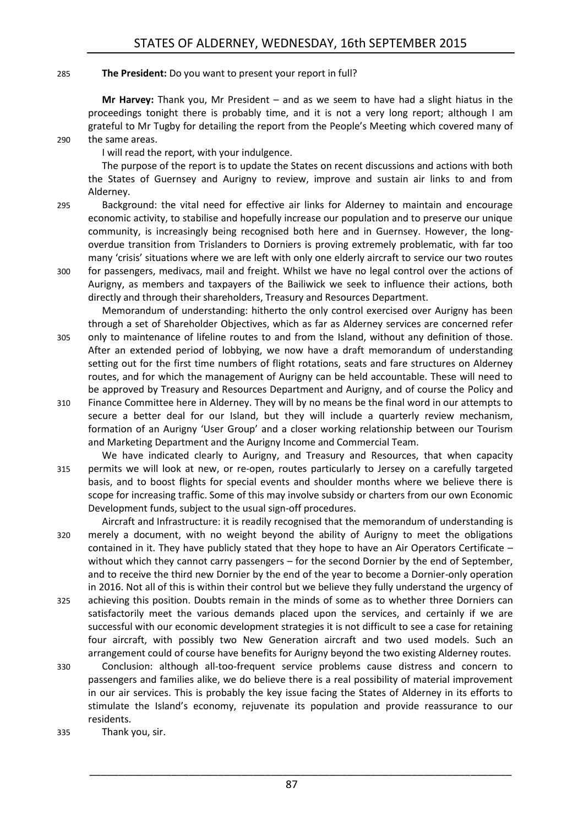#### 285 **The President:** Do you want to present your report in full?

**Mr Harvey:** Thank you, Mr President – and as we seem to have had a slight hiatus in the proceedings tonight there is probably time, and it is not a very long report; although I am grateful to Mr Tugby for detailing the report from the People's Meeting which covered many of 290 the same areas.

I will read the report, with your indulgence.

The purpose of the report is to update the States on recent discussions and actions with both the States of Guernsey and Aurigny to review, improve and sustain air links to and from Alderney.

- 295 Background: the vital need for effective air links for Alderney to maintain and encourage economic activity, to stabilise and hopefully increase our population and to preserve our unique community, is increasingly being recognised both here and in Guernsey. However, the longoverdue transition from Trislanders to Dorniers is proving extremely problematic, with far too many 'crisis' situations where we are left with only one elderly aircraft to service our two routes
- 300 for passengers, medivacs, mail and freight. Whilst we have no legal control over the actions of Aurigny, as members and taxpayers of the Bailiwick we seek to influence their actions, both directly and through their shareholders, Treasury and Resources Department.

Memorandum of understanding: hitherto the only control exercised over Aurigny has been through a set of Shareholder Objectives, which as far as Alderney services are concerned refer 305 only to maintenance of lifeline routes to and from the Island, without any definition of those. After an extended period of lobbying, we now have a draft memorandum of understanding setting out for the first time numbers of flight rotations, seats and fare structures on Alderney routes, and for which the management of Aurigny can be held accountable. These will need to be approved by Treasury and Resources Department and Aurigny, and of course the Policy and

- 310 Finance Committee here in Alderney. They will by no means be the final word in our attempts to secure a better deal for our Island, but they will include a quarterly review mechanism, formation of an Aurigny 'User Group' and a closer working relationship between our Tourism and Marketing Department and the Aurigny Income and Commercial Team.
- We have indicated clearly to Aurigny, and Treasury and Resources, that when capacity 315 permits we will look at new, or re-open, routes particularly to Jersey on a carefully targeted basis, and to boost flights for special events and shoulder months where we believe there is scope for increasing traffic. Some of this may involve subsidy or charters from our own Economic Development funds, subject to the usual sign-off procedures.
- Aircraft and Infrastructure: it is readily recognised that the memorandum of understanding is 320 merely a document, with no weight beyond the ability of Aurigny to meet the obligations contained in it. They have publicly stated that they hope to have an Air Operators Certificate – without which they cannot carry passengers – for the second Dornier by the end of September, and to receive the third new Dornier by the end of the year to become a Dornier-only operation in 2016. Not all of this is within their control but we believe they fully understand the urgency of
- 325 achieving this position. Doubts remain in the minds of some as to whether three Dorniers can satisfactorily meet the various demands placed upon the services, and certainly if we are successful with our economic development strategies it is not difficult to see a case for retaining four aircraft, with possibly two New Generation aircraft and two used models. Such an arrangement could of course have benefits for Aurigny beyond the two existing Alderney routes.
- 330 Conclusion: although all-too-frequent service problems cause distress and concern to passengers and families alike, we do believe there is a real possibility of material improvement in our air services. This is probably the key issue facing the States of Alderney in its efforts to stimulate the Island's economy, rejuvenate its population and provide reassurance to our residents.
- 335 Thank you, sir.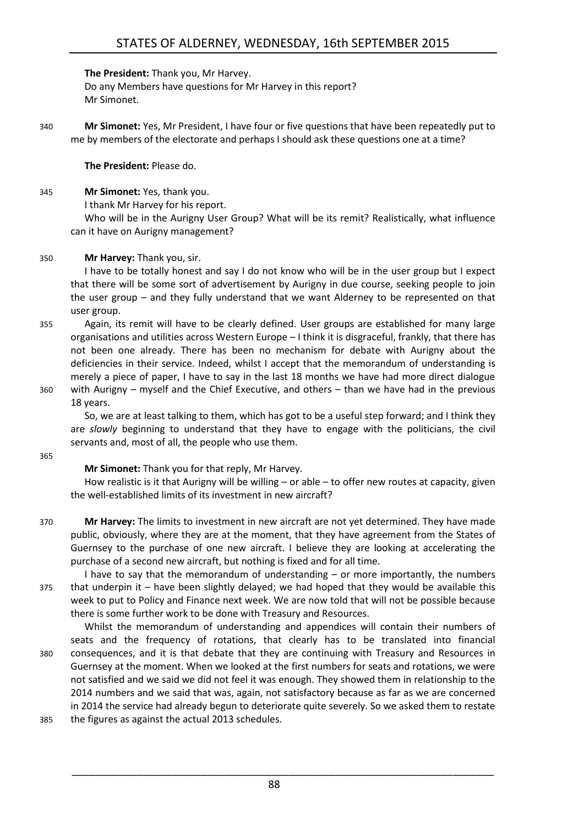**The President:** Thank you, Mr Harvey.

Do any Members have questions for Mr Harvey in this report? Mr Simonet.

340 **Mr Simonet:** Yes, Mr President, I have four or five questions that have been repeatedly put to me by members of the electorate and perhaps I should ask these questions one at a time?

**The President:** Please do.

345 **Mr Simonet:** Yes, thank you.

I thank Mr Harvey for his report.

Who will be in the Aurigny User Group? What will be its remit? Realistically, what influence can it have on Aurigny management?

#### 350 **Mr Harvey:** Thank you, sir.

I have to be totally honest and say I do not know who will be in the user group but I expect that there will be some sort of advertisement by Aurigny in due course, seeking people to join the user group – and they fully understand that we want Alderney to be represented on that user group.

- 355 Again, its remit will have to be clearly defined. User groups are established for many large organisations and utilities across Western Europe – I think it is disgraceful, frankly, that there has not been one already. There has been no mechanism for debate with Aurigny about the deficiencies in their service. Indeed, whilst I accept that the memorandum of understanding is merely a piece of paper, I have to say in the last 18 months we have had more direct dialogue 360 with Aurigny – myself and the Chief Executive, and others – than we have had in the previous
- 

18 years. So, we are at least talking to them, which has got to be a useful step forward; and I think they are *slowly* beginning to understand that they have to engage with the politicians, the civil servants and, most of all, the people who use them.

365

#### **Mr Simonet:** Thank you for that reply, Mr Harvey.

How realistic is it that Aurigny will be willing – or able – to offer new routes at capacity, given the well-established limits of its investment in new aircraft?

370 **Mr Harvey:** The limits to investment in new aircraft are not yet determined. They have made public, obviously, where they are at the moment, that they have agreement from the States of Guernsey to the purchase of one new aircraft. I believe they are looking at accelerating the purchase of a second new aircraft, but nothing is fixed and for all time.

I have to say that the memorandum of understanding  $-$  or more importantly, the numbers 375 that underpin it – have been slightly delayed; we had hoped that they would be available this week to put to Policy and Finance next week. We are now told that will not be possible because there is some further work to be done with Treasury and Resources.

Whilst the memorandum of understanding and appendices will contain their numbers of seats and the frequency of rotations, that clearly has to be translated into financial 380 consequences, and it is that debate that they are continuing with Treasury and Resources in Guernsey at the moment. When we looked at the first numbers for seats and rotations, we were not satisfied and we said we did not feel it was enough. They showed them in relationship to the 2014 numbers and we said that was, again, not satisfactory because as far as we are concerned in 2014 the service had already begun to deteriorate quite severely. So we asked them to restate

385 the figures as against the actual 2013 schedules.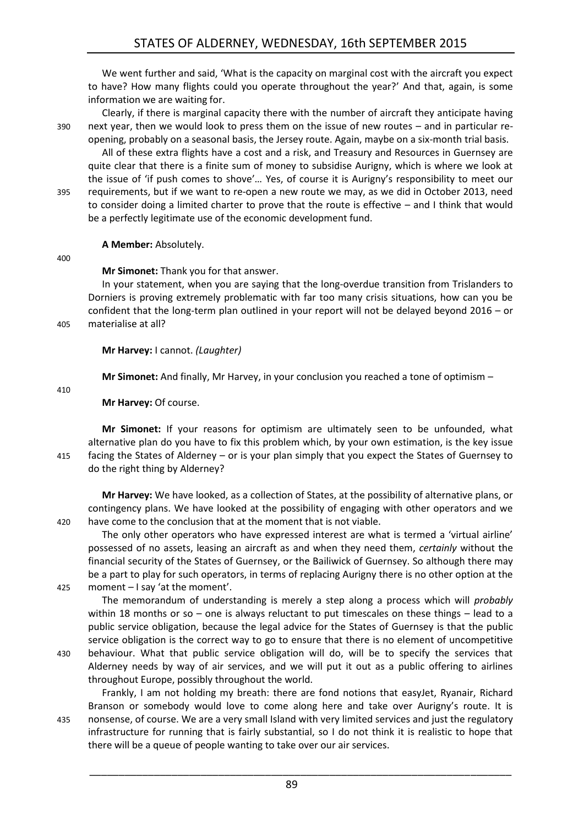We went further and said, 'What is the capacity on marginal cost with the aircraft you expect to have? How many flights could you operate throughout the year?' And that, again, is some information we are waiting for.

Clearly, if there is marginal capacity there with the number of aircraft they anticipate having 390 next year, then we would look to press them on the issue of new routes – and in particular reopening, probably on a seasonal basis, the Jersey route. Again, maybe on a six-month trial basis.

All of these extra flights have a cost and a risk, and Treasury and Resources in Guernsey are quite clear that there is a finite sum of money to subsidise Aurigny, which is where we look at the issue of 'if push comes to shove'… Yes, of course it is Aurigny's responsibility to meet our 395 requirements, but if we want to re-open a new route we may, as we did in October 2013, need to consider doing a limited charter to prove that the route is effective – and I think that would be a perfectly legitimate use of the economic development fund.

**A Member:** Absolutely.

400

**Mr Simonet:** Thank you for that answer.

In your statement, when you are saying that the long-overdue transition from Trislanders to Dorniers is proving extremely problematic with far too many crisis situations, how can you be confident that the long-term plan outlined in your report will not be delayed beyond 2016 – or 405 materialise at all?

**Mr Harvey:** I cannot. *(Laughter)*

**Mr Simonet:** And finally, Mr Harvey, in your conclusion you reached a tone of optimism –

410

**Mr Harvey:** Of course.

**Mr Simonet:** If your reasons for optimism are ultimately seen to be unfounded, what alternative plan do you have to fix this problem which, by your own estimation, is the key issue 415 facing the States of Alderney – or is your plan simply that you expect the States of Guernsey to do the right thing by Alderney?

**Mr Harvey:** We have looked, as a collection of States, at the possibility of alternative plans, or contingency plans. We have looked at the possibility of engaging with other operators and we 420 have come to the conclusion that at the moment that is not viable.

The only other operators who have expressed interest are what is termed a 'virtual airline' possessed of no assets, leasing an aircraft as and when they need them, *certainly* without the financial security of the States of Guernsey, or the Bailiwick of Guernsey. So although there may be a part to play for such operators, in terms of replacing Aurigny there is no other option at the 425 moment – I say 'at the moment'.

The memorandum of understanding is merely a step along a process which will *probably* within 18 months or so – one is always reluctant to put timescales on these things – lead to a public service obligation, because the legal advice for the States of Guernsey is that the public service obligation is the correct way to go to ensure that there is no element of uncompetitive

430 behaviour. What that public service obligation will do, will be to specify the services that Alderney needs by way of air services, and we will put it out as a public offering to airlines throughout Europe, possibly throughout the world.

Frankly, I am not holding my breath: there are fond notions that easyJet, Ryanair, Richard Branson or somebody would love to come along here and take over Aurigny's route. It is 435 nonsense, of course. We are a very small Island with very limited services and just the regulatory infrastructure for running that is fairly substantial, so I do not think it is realistic to hope that there will be a queue of people wanting to take over our air services.

89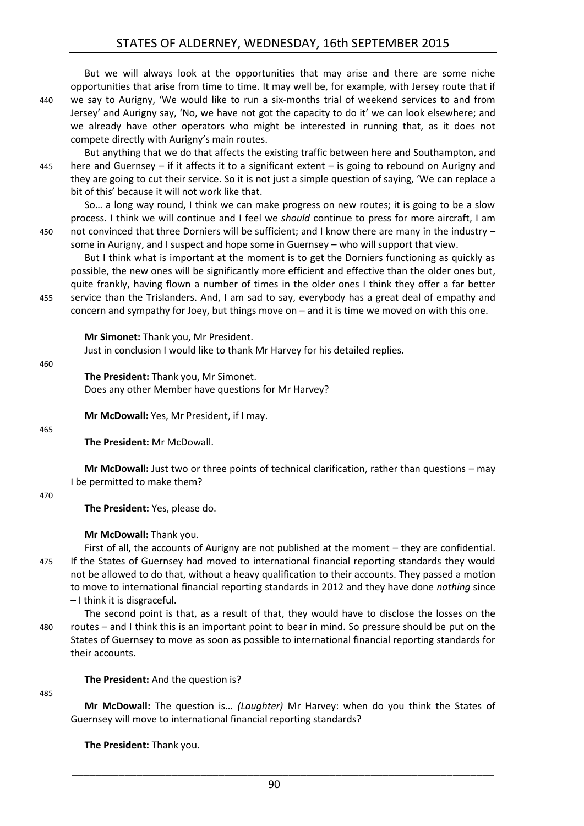But we will always look at the opportunities that may arise and there are some niche opportunities that arise from time to time. It may well be, for example, with Jersey route that if 440 we say to Aurigny, 'We would like to run a six-months trial of weekend services to and from Jersey' and Aurigny say, 'No, we have not got the capacity to do it' we can look elsewhere; and we already have other operators who might be interested in running that, as it does not compete directly with Aurigny's main routes.

But anything that we do that affects the existing traffic between here and Southampton, and 445 here and Guernsey – if it affects it to a significant extent – is going to rebound on Aurigny and they are going to cut their service. So it is not just a simple question of saying, 'We can replace a bit of this' because it will not work like that.

So… a long way round, I think we can make progress on new routes; it is going to be a slow process. I think we will continue and I feel we *should* continue to press for more aircraft, I am 450 not convinced that three Dorniers will be sufficient; and I know there are many in the industry – some in Aurigny, and I suspect and hope some in Guernsey – who will support that view.

But I think what is important at the moment is to get the Dorniers functioning as quickly as possible, the new ones will be significantly more efficient and effective than the older ones but, quite frankly, having flown a number of times in the older ones I think they offer a far better 455 service than the Trislanders. And, I am sad to say, everybody has a great deal of empathy and concern and sympathy for Joey, but things move on – and it is time we moved on with this one.

**Mr Simonet:** Thank you, Mr President. Just in conclusion I would like to thank Mr Harvey for his detailed replies.

460

**The President:** Thank you, Mr Simonet. Does any other Member have questions for Mr Harvey?

**Mr McDowall:** Yes, Mr President, if I may.

465

**The President:** Mr McDowall.

**Mr McDowall:** Just two or three points of technical clarification, rather than questions – may I be permitted to make them?

470

**The President:** Yes, please do.

**Mr McDowall:** Thank you.

First of all, the accounts of Aurigny are not published at the moment – they are confidential. 475 If the States of Guernsey had moved to international financial reporting standards they would not be allowed to do that, without a heavy qualification to their accounts. They passed a motion to move to international financial reporting standards in 2012 and they have done *nothing* since – I think it is disgraceful.

The second point is that, as a result of that, they would have to disclose the losses on the 480 routes – and I think this is an important point to bear in mind. So pressure should be put on the States of Guernsey to move as soon as possible to international financial reporting standards for their accounts.

**The President:** And the question is?

#### 485

**Mr McDowall:** The question is… *(Laughter)* Mr Harvey: when do you think the States of Guernsey will move to international financial reporting standards?

**The President:** Thank you.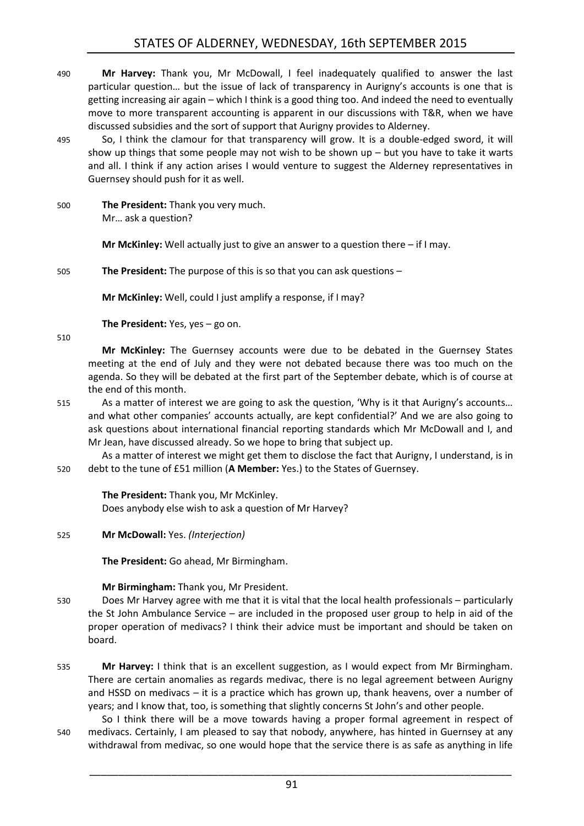- 490 **Mr Harvey:** Thank you, Mr McDowall, I feel inadequately qualified to answer the last particular question… but the issue of lack of transparency in Aurigny's accounts is one that is getting increasing air again – which I think is a good thing too. And indeed the need to eventually move to more transparent accounting is apparent in our discussions with T&R, when we have discussed subsidies and the sort of support that Aurigny provides to Alderney.
- 495 So, I think the clamour for that transparency will grow. It is a double-edged sword, it will show up things that some people may not wish to be shown up  $-$  but you have to take it warts and all. I think if any action arises I would venture to suggest the Alderney representatives in Guernsey should push for it as well.
- 500 **The President:** Thank you very much. Mr… ask a question?

**Mr McKinley:** Well actually just to give an answer to a question there – if I may.

505 **The President:** The purpose of this is so that you can ask questions –

**Mr McKinley:** Well, could I just amplify a response, if I may?

**The President:** Yes, yes – go on.

510

**Mr McKinley:** The Guernsey accounts were due to be debated in the Guernsey States meeting at the end of July and they were not debated because there was too much on the agenda. So they will be debated at the first part of the September debate, which is of course at the end of this month.

515 As a matter of interest we are going to ask the question, 'Why is it that Aurigny's accounts… and what other companies' accounts actually, are kept confidential?' And we are also going to ask questions about international financial reporting standards which Mr McDowall and I, and Mr Jean, have discussed already. So we hope to bring that subject up.

As a matter of interest we might get them to disclose the fact that Aurigny, I understand, is in 520 debt to the tune of £51 million (**A Member:** Yes.) to the States of Guernsey.

**The President:** Thank you, Mr McKinley. Does anybody else wish to ask a question of Mr Harvey?

525 **Mr McDowall:** Yes. *(Interjection)*

**The President:** Go ahead, Mr Birmingham.

## **Mr Birmingham:** Thank you, Mr President.

- 530 Does Mr Harvey agree with me that it is vital that the local health professionals particularly the St John Ambulance Service – are included in the proposed user group to help in aid of the proper operation of medivacs? I think their advice must be important and should be taken on board.
- 535 **Mr Harvey:** I think that is an excellent suggestion, as I would expect from Mr Birmingham. There are certain anomalies as regards medivac, there is no legal agreement between Aurigny and HSSD on medivacs – it is a practice which has grown up, thank heavens, over a number of years; and I know that, too, is something that slightly concerns St John's and other people.

So I think there will be a move towards having a proper formal agreement in respect of 540 medivacs. Certainly, I am pleased to say that nobody, anywhere, has hinted in Guernsey at any withdrawal from medivac, so one would hope that the service there is as safe as anything in life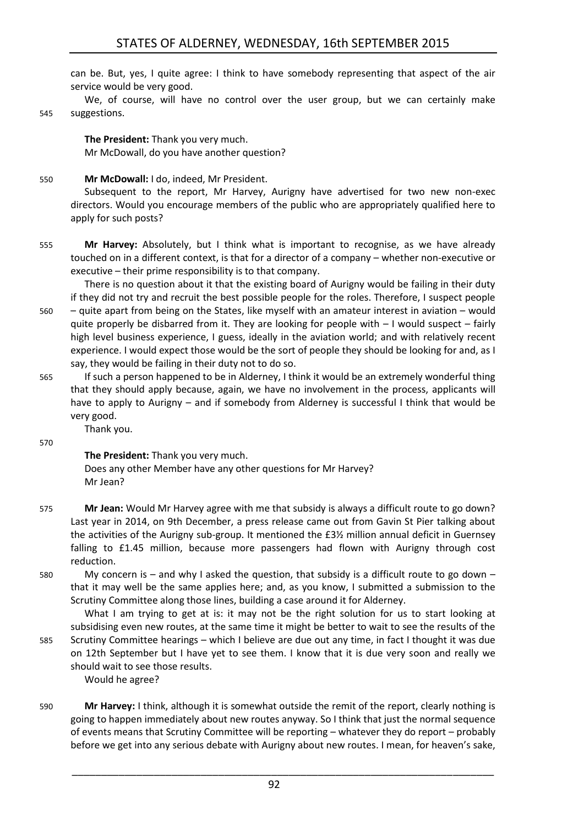can be. But, yes, I quite agree: I think to have somebody representing that aspect of the air service would be very good.

We, of course, will have no control over the user group, but we can certainly make 545 suggestions.

**The President:** Thank you very much. Mr McDowall, do you have another question?

say, they would be failing in their duty not to do so.

#### 550 **Mr McDowall:** I do, indeed, Mr President.

Subsequent to the report, Mr Harvey, Aurigny have advertised for two new non-exec directors. Would you encourage members of the public who are appropriately qualified here to apply for such posts?

555 **Mr Harvey:** Absolutely, but I think what is important to recognise, as we have already touched on in a different context, is that for a director of a company – whether non-executive or executive – their prime responsibility is to that company.

There is no question about it that the existing board of Aurigny would be failing in their duty if they did not try and recruit the best possible people for the roles. Therefore, I suspect people 560 – quite apart from being on the States, like myself with an amateur interest in aviation – would quite properly be disbarred from it. They are looking for people with  $-1$  would suspect  $-$  fairly high level business experience, I guess, ideally in the aviation world; and with relatively recent experience. I would expect those would be the sort of people they should be looking for and, as I

565 If such a person happened to be in Alderney, I think it would be an extremely wonderful thing that they should apply because, again, we have no involvement in the process, applicants will have to apply to Aurigny – and if somebody from Alderney is successful I think that would be very good.

Thank you.

570

**The President:** Thank you very much. Does any other Member have any other questions for Mr Harvey? Mr Jean?

- 575 **Mr Jean:** Would Mr Harvey agree with me that subsidy is always a difficult route to go down? Last year in 2014, on 9th December, a press release came out from Gavin St Pier talking about the activities of the Aurigny sub-group. It mentioned the £3½ million annual deficit in Guernsey falling to £1.45 million, because more passengers had flown with Aurigny through cost reduction.
- 580 My concern is and why I asked the question, that subsidy is a difficult route to go down that it may well be the same applies here; and, as you know, I submitted a submission to the Scrutiny Committee along those lines, building a case around it for Alderney.

What I am trying to get at is: it may not be the right solution for us to start looking at subsidising even new routes, at the same time it might be better to wait to see the results of the 585 Scrutiny Committee hearings – which I believe are due out any time, in fact I thought it was due on 12th September but I have yet to see them. I know that it is due very soon and really we should wait to see those results. Would he agree?

590 **Mr Harvey:** I think, although it is somewhat outside the remit of the report, clearly nothing is going to happen immediately about new routes anyway. So I think that just the normal sequence of events means that Scrutiny Committee will be reporting – whatever they do report – probably before we get into any serious debate with Aurigny about new routes. I mean, for heaven's sake,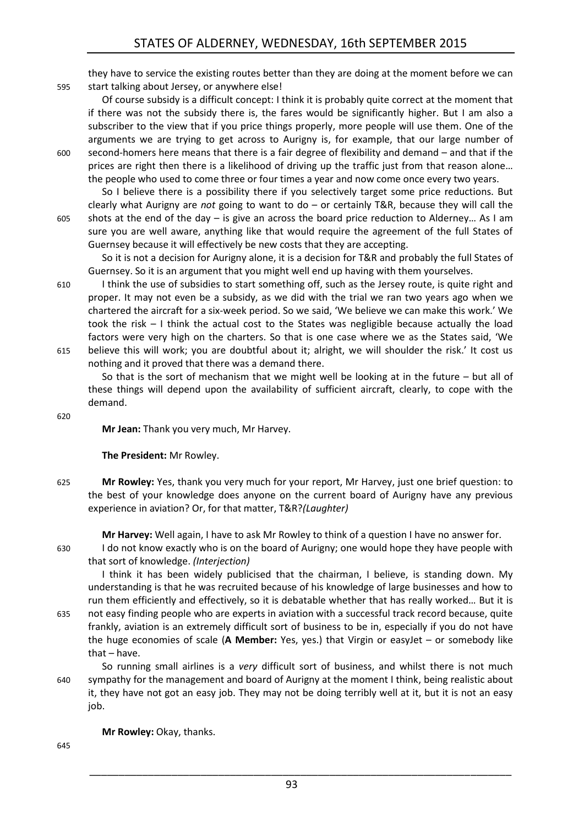they have to service the existing routes better than they are doing at the moment before we can 595 start talking about Jersey, or anywhere else!

Of course subsidy is a difficult concept: I think it is probably quite correct at the moment that if there was not the subsidy there is, the fares would be significantly higher. But I am also a subscriber to the view that if you price things properly, more people will use them. One of the arguments we are trying to get across to Aurigny is, for example, that our large number of 600 second-homers here means that there is a fair degree of flexibility and demand – and that if the prices are right then there is a likelihood of driving up the traffic just from that reason alone… the people who used to come three or four times a year and now come once every two years.

So I believe there is a possibility there if you selectively target some price reductions. But clearly what Aurigny are *not* going to want to do – or certainly T&R, because they will call the 605 shots at the end of the day – is give an across the board price reduction to Alderney… As I am sure you are well aware, anything like that would require the agreement of the full States of Guernsey because it will effectively be new costs that they are accepting.

So it is not a decision for Aurigny alone, it is a decision for T&R and probably the full States of Guernsey. So it is an argument that you might well end up having with them yourselves.

610 I think the use of subsidies to start something off, such as the Jersey route, is quite right and proper. It may not even be a subsidy, as we did with the trial we ran two years ago when we chartered the aircraft for a six-week period. So we said, 'We believe we can make this work.' We took the risk – I think the actual cost to the States was negligible because actually the load factors were very high on the charters. So that is one case where we as the States said, 'We 615 believe this will work; you are doubtful about it; alright, we will shoulder the risk.' It cost us nothing and it proved that there was a demand there.

So that is the sort of mechanism that we might well be looking at in the future – but all of these things will depend upon the availability of sufficient aircraft, clearly, to cope with the demand.

620

**Mr Jean:** Thank you very much, Mr Harvey.

**The President:** Mr Rowley.

625 **Mr Rowley:** Yes, thank you very much for your report, Mr Harvey, just one brief question: to the best of your knowledge does anyone on the current board of Aurigny have any previous experience in aviation? Or, for that matter, T&R?*(Laughter)*

**Mr Harvey:** Well again, I have to ask Mr Rowley to think of a question I have no answer for.

630 I do not know exactly who is on the board of Aurigny; one would hope they have people with that sort of knowledge. *(Interjection)*

I think it has been widely publicised that the chairman, I believe, is standing down. My understanding is that he was recruited because of his knowledge of large businesses and how to run them efficiently and effectively, so it is debatable whether that has really worked… But it is 635 not easy finding people who are experts in aviation with a successful track record because, quite

frankly, aviation is an extremely difficult sort of business to be in, especially if you do not have the huge economies of scale (**A Member:** Yes, yes.) that Virgin or easyJet – or somebody like that – have.

So running small airlines is a *very* difficult sort of business, and whilst there is not much 640 sympathy for the management and board of Aurigny at the moment I think, being realistic about it, they have not got an easy job. They may not be doing terribly well at it, but it is not an easy job.

**Mr Rowley:** Okay, thanks.

645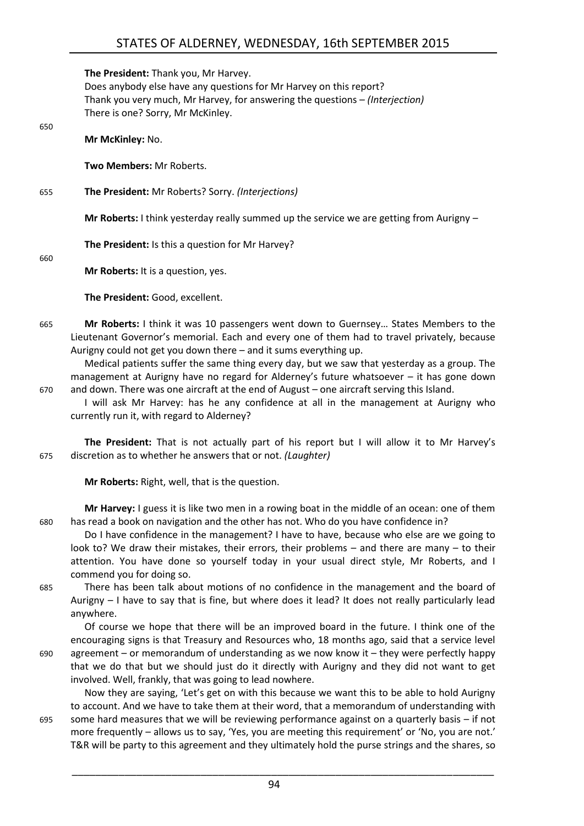**The President:** Thank you, Mr Harvey.

Does anybody else have any questions for Mr Harvey on this report? Thank you very much, Mr Harvey, for answering the questions – *(Interjection)* There is one? Sorry, Mr McKinley.

**Mr McKinley:** No.

**Two Members:** Mr Roberts.

655 **The President:** Mr Roberts? Sorry. *(Interjections)*

**Mr Roberts:** I think yesterday really summed up the service we are getting from Aurigny –

**The President:** Is this a question for Mr Harvey?

660

650

**Mr Roberts:** It is a question, yes.

**The President:** Good, excellent.

665 **Mr Roberts:** I think it was 10 passengers went down to Guernsey… States Members to the Lieutenant Governor's memorial. Each and every one of them had to travel privately, because Aurigny could not get you down there – and it sums everything up.

Medical patients suffer the same thing every day, but we saw that yesterday as a group. The management at Aurigny have no regard for Alderney's future whatsoever – it has gone down 670 and down. There was one aircraft at the end of August – one aircraft serving this Island.

I will ask Mr Harvey: has he any confidence at all in the management at Aurigny who currently run it, with regard to Alderney?

**The President:** That is not actually part of his report but I will allow it to Mr Harvey's 675 discretion as to whether he answers that or not. *(Laughter)*

**Mr Roberts:** Right, well, that is the question.

**Mr Harvey:** I guess it is like two men in a rowing boat in the middle of an ocean: one of them 680 has read a book on navigation and the other has not. Who do you have confidence in?

Do I have confidence in the management? I have to have, because who else are we going to look to? We draw their mistakes, their errors, their problems – and there are many – to their attention. You have done so yourself today in your usual direct style, Mr Roberts, and I commend you for doing so.

685 There has been talk about motions of no confidence in the management and the board of Aurigny – I have to say that is fine, but where does it lead? It does not really particularly lead anywhere.

Of course we hope that there will be an improved board in the future. I think one of the encouraging signs is that Treasury and Resources who, 18 months ago, said that a service level  $690$  agreement – or memorandum of understanding as we now know it – they were perfectly happy that we do that but we should just do it directly with Aurigny and they did not want to get involved. Well, frankly, that was going to lead nowhere.

Now they are saying, 'Let's get on with this because we want this to be able to hold Aurigny to account. And we have to take them at their word, that a memorandum of understanding with 695 some hard measures that we will be reviewing performance against on a quarterly basis – if not more frequently – allows us to say, 'Yes, you are meeting this requirement' or 'No, you are not.' T&R will be party to this agreement and they ultimately hold the purse strings and the shares, so

94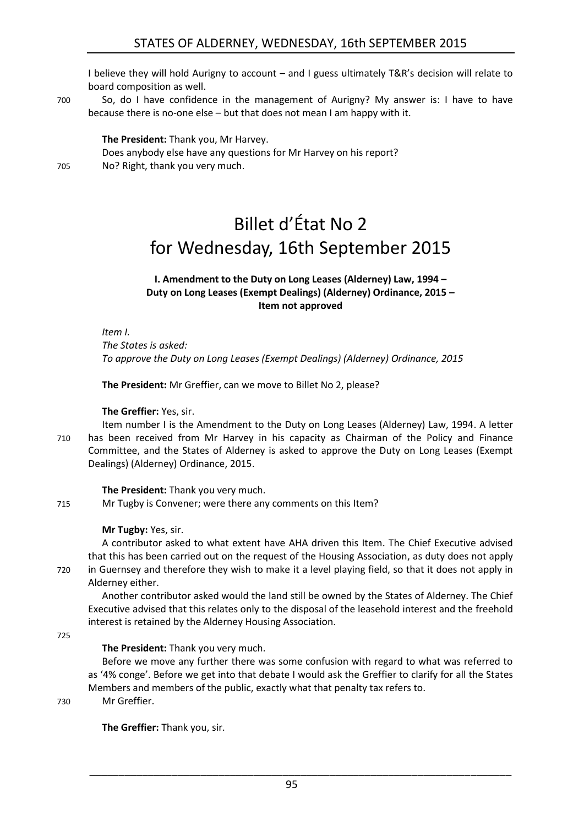# STATES OF ALDERNEY, WEDNESDAY, 16th SEPTEMBER 2015

I believe they will hold Aurigny to account – and I guess ultimately T&R's decision will relate to board composition as well.

700 So, do I have confidence in the management of Aurigny? My answer is: I have to have because there is no-one else – but that does not mean I am happy with it.

**The President:** Thank you, Mr Harvey. Does anybody else have any questions for Mr Harvey on his report? 705 No? Right, thank you very much.

<span id="page-18-0"></span>

# Billet d'État No 2 for Wednesday, 16th September 2015

#### **I. Amendment to the Duty on Long Leases (Alderney) Law, 1994 – Duty on Long Leases (Exempt Dealings) (Alderney) Ordinance, 2015 – Item not approved**

<span id="page-18-1"></span>*Item I.*

*The States is asked: To approve the Duty on Long Leases (Exempt Dealings) (Alderney) Ordinance, 2015*

**The President:** Mr Greffier, can we move to Billet No 2, please?

#### **The Greffier:** Yes, sir.

Item number I is the Amendment to the Duty on Long Leases (Alderney) Law, 1994. A letter 710 has been received from Mr Harvey in his capacity as Chairman of the Policy and Finance Committee, and the States of Alderney is asked to approve the Duty on Long Leases (Exempt Dealings) (Alderney) Ordinance, 2015.

**The President:** Thank you very much.

715 Mr Tugby is Convener; were there any comments on this Item?

#### **Mr Tugby:** Yes, sir.

A contributor asked to what extent have AHA driven this Item. The Chief Executive advised that this has been carried out on the request of the Housing Association, as duty does not apply 720 in Guernsey and therefore they wish to make it a level playing field, so that it does not apply in Alderney either.

Another contributor asked would the land still be owned by the States of Alderney. The Chief Executive advised that this relates only to the disposal of the leasehold interest and the freehold interest is retained by the Alderney Housing Association.

725

#### **The President:** Thank you very much.

Before we move any further there was some confusion with regard to what was referred to as '4% conge'. Before we get into that debate I would ask the Greffier to clarify for all the States Members and members of the public, exactly what that penalty tax refers to.

730 Mr Greffier.

**The Greffier:** Thank you, sir.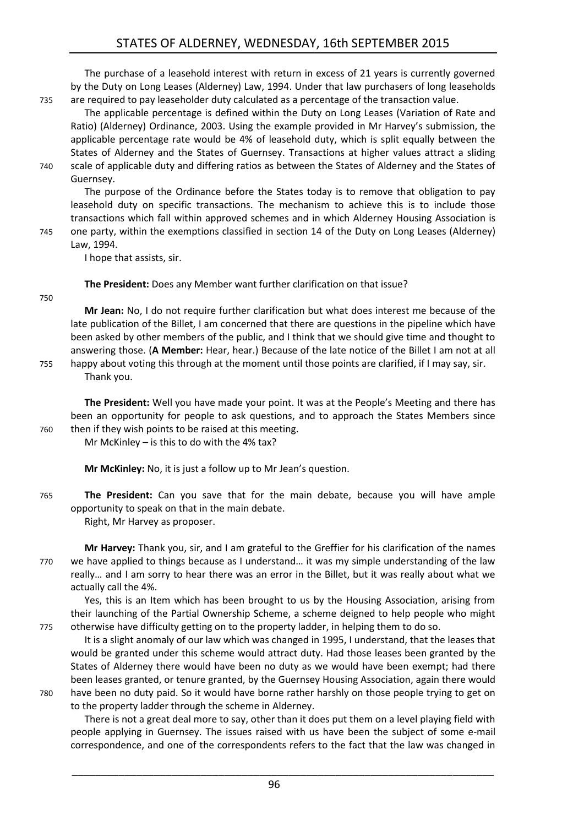The purchase of a leasehold interest with return in excess of 21 years is currently governed by the Duty on Long Leases (Alderney) Law, 1994. Under that law purchasers of long leaseholds 735 are required to pay leaseholder duty calculated as a percentage of the transaction value.

The applicable percentage is defined within the Duty on Long Leases (Variation of Rate and Ratio) (Alderney) Ordinance, 2003. Using the example provided in Mr Harvey's submission, the applicable percentage rate would be 4% of leasehold duty, which is split equally between the States of Alderney and the States of Guernsey. Transactions at higher values attract a sliding 740 scale of applicable duty and differing ratios as between the States of Alderney and the States of Guernsey.

The purpose of the Ordinance before the States today is to remove that obligation to pay leasehold duty on specific transactions. The mechanism to achieve this is to include those transactions which fall within approved schemes and in which Alderney Housing Association is 745 one party, within the exemptions classified in section 14 of the Duty on Long Leases (Alderney) Law, 1994.

I hope that assists, sir.

**The President:** Does any Member want further clarification on that issue?

750

**Mr Jean:** No, I do not require further clarification but what does interest me because of the late publication of the Billet, I am concerned that there are questions in the pipeline which have been asked by other members of the public, and I think that we should give time and thought to answering those. (**A Member:** Hear, hear.) Because of the late notice of the Billet I am not at all 755 happy about voting this through at the moment until those points are clarified, if I may say, sir. Thank you.

**The President:** Well you have made your point. It was at the People's Meeting and there has been an opportunity for people to ask questions, and to approach the States Members since 760 then if they wish points to be raised at this meeting.

Mr McKinley – is this to do with the 4% tax?

**Mr McKinley:** No, it is just a follow up to Mr Jean's question.

765 **The President:** Can you save that for the main debate, because you will have ample opportunity to speak on that in the main debate.

Right, Mr Harvey as proposer.

**Mr Harvey:** Thank you, sir, and I am grateful to the Greffier for his clarification of the names 770 we have applied to things because as I understand… it was my simple understanding of the law really… and I am sorry to hear there was an error in the Billet, but it was really about what we actually call the 4%.

Yes, this is an Item which has been brought to us by the Housing Association, arising from their launching of the Partial Ownership Scheme, a scheme deigned to help people who might 775 otherwise have difficulty getting on to the property ladder, in helping them to do so.

It is a slight anomaly of our law which was changed in 1995, I understand, that the leases that would be granted under this scheme would attract duty. Had those leases been granted by the States of Alderney there would have been no duty as we would have been exempt; had there been leases granted, or tenure granted, by the Guernsey Housing Association, again there would 780 have been no duty paid. So it would have borne rather harshly on those people trying to get on to the property ladder through the scheme in Alderney.

There is not a great deal more to say, other than it does put them on a level playing field with people applying in Guernsey. The issues raised with us have been the subject of some e-mail correspondence, and one of the correspondents refers to the fact that the law was changed in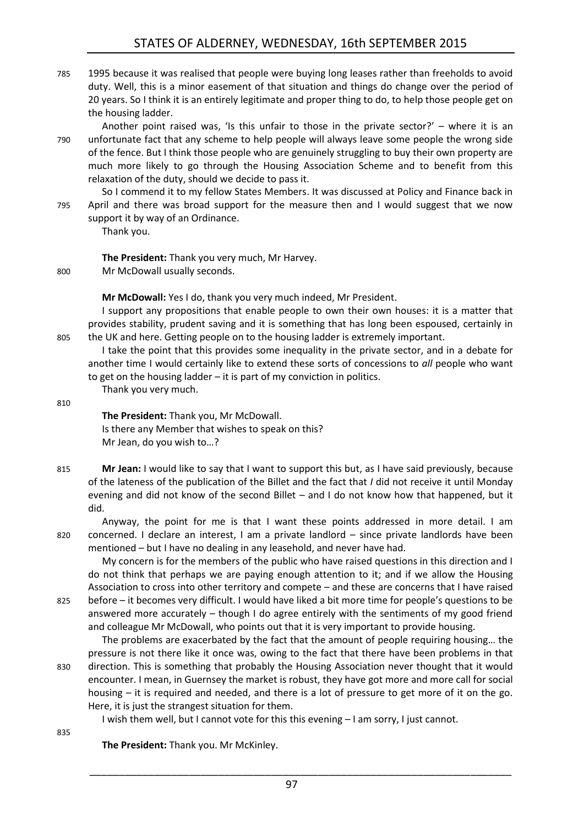- 785 1995 because it was realised that people were buying long leases rather than freeholds to avoid duty. Well, this is a minor easement of that situation and things do change over the period of 20 years. So I think it is an entirely legitimate and proper thing to do, to help those people get on the housing ladder.
- Another point raised was, 'Is this unfair to those in the private sector?' where it is an 790 unfortunate fact that any scheme to help people will always leave some people the wrong side of the fence. But I think those people who are genuinely struggling to buy their own property are much more likely to go through the Housing Association Scheme and to benefit from this relaxation of the duty, should we decide to pass it.

So I commend it to my fellow States Members. It was discussed at Policy and Finance back in 795 April and there was broad support for the measure then and I would suggest that we now support it by way of an Ordinance.

Thank you.

**The President:** Thank you very much, Mr Harvey. 800 Mr McDowall usually seconds.

**Mr McDowall:** Yes I do, thank you very much indeed, Mr President.

I support any propositions that enable people to own their own houses: it is a matter that provides stability, prudent saving and it is something that has long been espoused, certainly in 805 the UK and here. Getting people on to the housing ladder is extremely important.

I take the point that this provides some inequality in the private sector, and in a debate for another time I would certainly like to extend these sorts of concessions to *all* people who want to get on the housing ladder – it is part of my conviction in politics.

Thank you very much.

810

**The President:** Thank you, Mr McDowall. Is there any Member that wishes to speak on this? Mr Jean, do you wish to…?

815 **Mr Jean:** I would like to say that I want to support this but, as I have said previously, because of the lateness of the publication of the Billet and the fact that *I* did not receive it until Monday evening and did not know of the second Billet – and I do not know how that happened, but it did.

Anyway, the point for me is that I want these points addressed in more detail. I am 820 concerned. I declare an interest, I am a private landlord – since private landlords have been mentioned – but I have no dealing in any leasehold, and never have had.

My concern is for the members of the public who have raised questions in this direction and I do not think that perhaps we are paying enough attention to it; and if we allow the Housing Association to cross into other territory and compete – and these are concerns that I have raised 825 before – it becomes very difficult. I would have liked a bit more time for people's questions to be answered more accurately – though I do agree entirely with the sentiments of my good friend

and colleague Mr McDowall, who points out that it is very important to provide housing.

The problems are exacerbated by the fact that the amount of people requiring housing… the pressure is not there like it once was, owing to the fact that there have been problems in that 830 direction. This is something that probably the Housing Association never thought that it would encounter. I mean, in Guernsey the market is robust, they have got more and more call for social housing – it is required and needed, and there is a lot of pressure to get more of it on the go. Here, it is just the strangest situation for them.

I wish them well, but I cannot vote for this this evening – I am sorry, I just cannot.

835

**The President:** Thank you. Mr McKinley.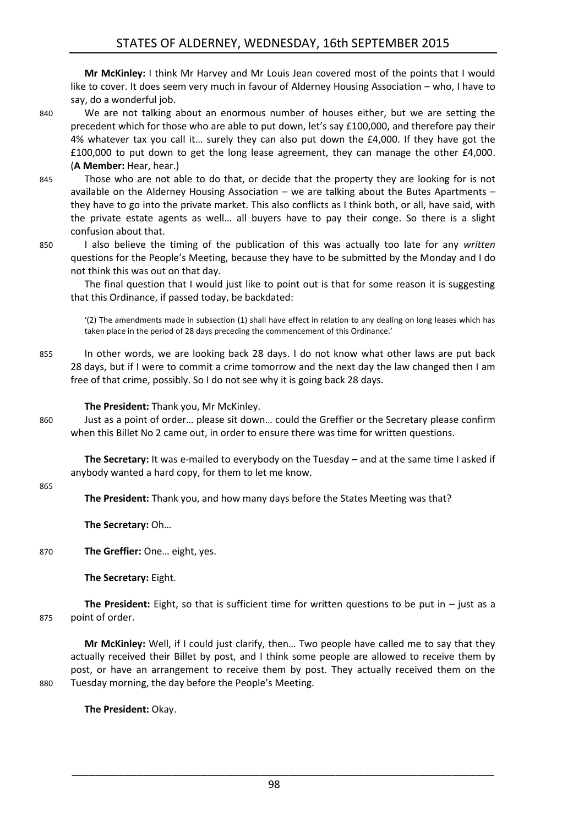**Mr McKinley:** I think Mr Harvey and Mr Louis Jean covered most of the points that I would like to cover. It does seem very much in favour of Alderney Housing Association – who, I have to say, do a wonderful job.

- 840 We are not talking about an enormous number of houses either, but we are setting the precedent which for those who are able to put down, let's say £100,000, and therefore pay their 4% whatever tax you call it… surely they can also put down the £4,000. If they have got the £100,000 to put down to get the long lease agreement, they can manage the other £4,000. (**A Member:** Hear, hear.)
- 845 Those who are not able to do that, or decide that the property they are looking for is not available on the Alderney Housing Association – we are talking about the Butes Apartments – they have to go into the private market. This also conflicts as I think both, or all, have said, with the private estate agents as well… all buyers have to pay their conge. So there is a slight confusion about that.
- 850 I also believe the timing of the publication of this was actually too late for any *written* questions for the People's Meeting, because they have to be submitted by the Monday and I do not think this was out on that day.

The final question that I would just like to point out is that for some reason it is suggesting that this Ordinance, if passed today, be backdated:

'(2) The amendments made in subsection (1) shall have effect in relation to any dealing on long leases which has taken place in the period of 28 days preceding the commencement of this Ordinance.'

855 In other words, we are looking back 28 days. I do not know what other laws are put back 28 days, but if I were to commit a crime tomorrow and the next day the law changed then I am free of that crime, possibly. So I do not see why it is going back 28 days.

#### **The President:** Thank you, Mr McKinley.

860 Just as a point of order… please sit down… could the Greffier or the Secretary please confirm when this Billet No 2 came out, in order to ensure there was time for written questions.

**The Secretary:** It was e-mailed to everybody on the Tuesday – and at the same time I asked if anybody wanted a hard copy, for them to let me know.

#### 865

**The President:** Thank you, and how many days before the States Meeting was that?

**The Secretary:** Oh…

870 **The Greffier:** One… eight, yes.

**The Secretary:** Eight.

**The President:** Eight, so that is sufficient time for written questions to be put in – just as a 875 point of order.

**Mr McKinley:** Well, if I could just clarify, then… Two people have called me to say that they actually received their Billet by post, and I think some people are allowed to receive them by post, or have an arrangement to receive them by post. They actually received them on the 880 Tuesday morning, the day before the People's Meeting.

**The President:** Okay.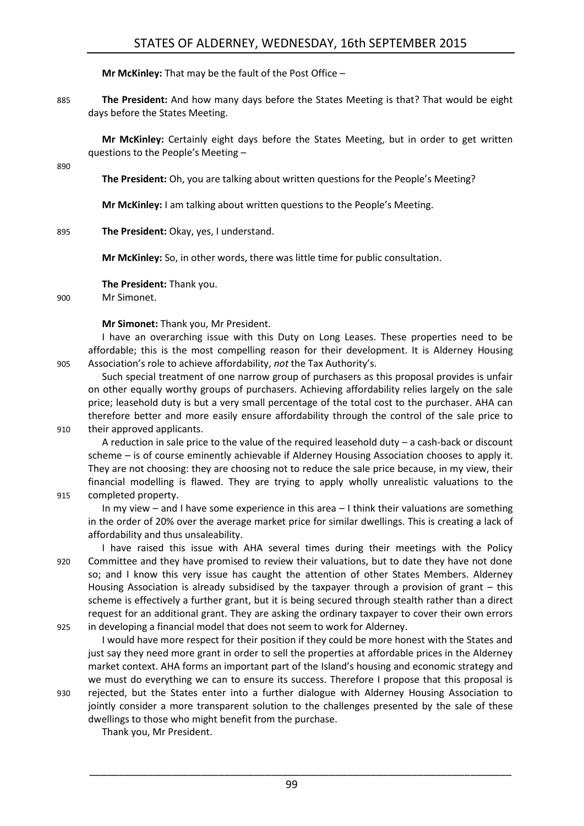**Mr McKinley:** That may be the fault of the Post Office –

885 **The President:** And how many days before the States Meeting is that? That would be eight days before the States Meeting.

**Mr McKinley:** Certainly eight days before the States Meeting, but in order to get written questions to the People's Meeting –

890

**The President:** Oh, you are talking about written questions for the People's Meeting?

**Mr McKinley:** I am talking about written questions to the People's Meeting.

895 **The President:** Okay, yes, I understand.

**Mr McKinley:** So, in other words, there was little time for public consultation.

**The President:** Thank you.

900 Mr Simonet.

**Mr Simonet:** Thank you, Mr President.

I have an overarching issue with this Duty on Long Leases. These properties need to be affordable; this is the most compelling reason for their development. It is Alderney Housing 905 Association's role to achieve affordability, *not* the Tax Authority's.

Such special treatment of one narrow group of purchasers as this proposal provides is unfair on other equally worthy groups of purchasers. Achieving affordability relies largely on the sale price; leasehold duty is but a very small percentage of the total cost to the purchaser. AHA can therefore better and more easily ensure affordability through the control of the sale price to 910 their approved applicants.

A reduction in sale price to the value of the required leasehold duty – a cash-back or discount scheme – is of course eminently achievable if Alderney Housing Association chooses to apply it. They are not choosing: they are choosing not to reduce the sale price because, in my view, their financial modelling is flawed. They are trying to apply wholly unrealistic valuations to the

915 completed property.

In my view – and I have some experience in this area – I think their valuations are something in the order of 20% over the average market price for similar dwellings. This is creating a lack of affordability and thus unsaleability.

I have raised this issue with AHA several times during their meetings with the Policy 920 Committee and they have promised to review their valuations, but to date they have not done so; and I know this very issue has caught the attention of other States Members. Alderney Housing Association is already subsidised by the taxpayer through a provision of grant – this scheme is effectively a further grant, but it is being secured through stealth rather than a direct request for an additional grant. They are asking the ordinary taxpayer to cover their own errors 925 in developing a financial model that does not seem to work for Alderney.

I would have more respect for their position if they could be more honest with the States and just say they need more grant in order to sell the properties at affordable prices in the Alderney market context. AHA forms an important part of the Island's housing and economic strategy and we must do everything we can to ensure its success. Therefore I propose that this proposal is

930 rejected, but the States enter into a further dialogue with Alderney Housing Association to jointly consider a more transparent solution to the challenges presented by the sale of these dwellings to those who might benefit from the purchase.

Thank you, Mr President.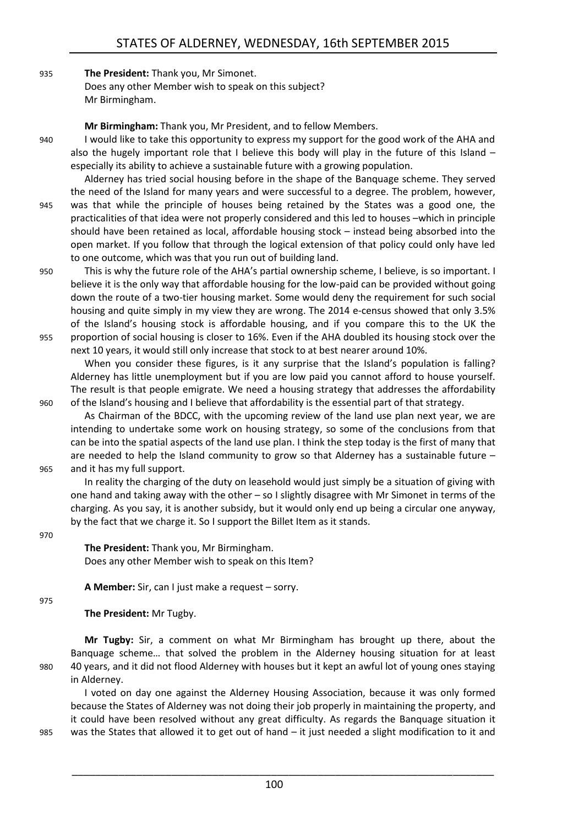#### 935 **The President:** Thank you, Mr Simonet. Does any other Member wish to speak on this subject? Mr Birmingham.

**Mr Birmingham:** Thank you, Mr President, and to fellow Members.

940 I would like to take this opportunity to express my support for the good work of the AHA and also the hugely important role that I believe this body will play in the future of this Island – especially its ability to achieve a sustainable future with a growing population.

Alderney has tried social housing before in the shape of the Banquage scheme. They served the need of the Island for many years and were successful to a degree. The problem, however, 945 was that while the principle of houses being retained by the States was a good one, the practicalities of that idea were not properly considered and this led to houses –which in principle should have been retained as local, affordable housing stock – instead being absorbed into the open market. If you follow that through the logical extension of that policy could only have led to one outcome, which was that you run out of building land.

950 This is why the future role of the AHA's partial ownership scheme, I believe, is so important. I believe it is the only way that affordable housing for the low-paid can be provided without going down the route of a two-tier housing market. Some would deny the requirement for such social housing and quite simply in my view they are wrong. The 2014 e-census showed that only 3.5% of the Island's housing stock is affordable housing, and if you compare this to the UK the 955 proportion of social housing is closer to 16%. Even if the AHA doubled its housing stock over the next 10 years, it would still only increase that stock to at best nearer around 10%.

When you consider these figures, is it any surprise that the Island's population is falling? Alderney has little unemployment but if you are low paid you cannot afford to house yourself. The result is that people emigrate. We need a housing strategy that addresses the affordability 960 of the Island's housing and I believe that affordability is the essential part of that strategy.

As Chairman of the BDCC, with the upcoming review of the land use plan next year, we are intending to undertake some work on housing strategy, so some of the conclusions from that can be into the spatial aspects of the land use plan. I think the step today is the first of many that are needed to help the Island community to grow so that Alderney has a sustainable future – 965 and it has my full support.

In reality the charging of the duty on leasehold would just simply be a situation of giving with one hand and taking away with the other – so I slightly disagree with Mr Simonet in terms of the charging. As you say, it is another subsidy, but it would only end up being a circular one anyway, by the fact that we charge it. So I support the Billet Item as it stands.

970

**The President:** Thank you, Mr Birmingham. Does any other Member wish to speak on this Item?

**A Member:** Sir, can I just make a request – sorry.

975

**The President:** Mr Tugby.

**Mr Tugby:** Sir, a comment on what Mr Birmingham has brought up there, about the Banquage scheme… that solved the problem in the Alderney housing situation for at least 980 40 years, and it did not flood Alderney with houses but it kept an awful lot of young ones staying in Alderney.

I voted on day one against the Alderney Housing Association, because it was only formed because the States of Alderney was not doing their job properly in maintaining the property, and it could have been resolved without any great difficulty. As regards the Banquage situation it 985 was the States that allowed it to get out of hand – it just needed a slight modification to it and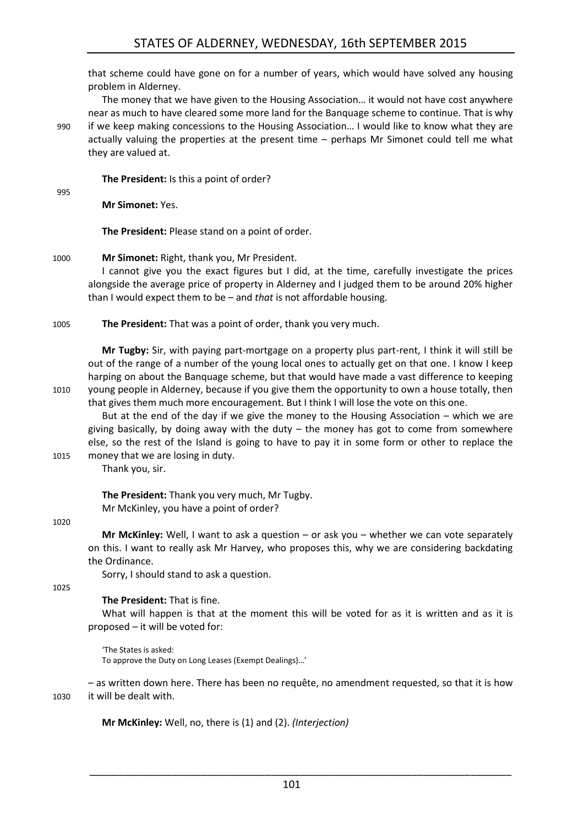that scheme could have gone on for a number of years, which would have solved any housing problem in Alderney.

The money that we have given to the Housing Association… it would not have cost anywhere near as much to have cleared some more land for the Banquage scheme to continue. That is why 990 if we keep making concessions to the Housing Association… I would like to know what they are actually valuing the properties at the present time – perhaps Mr Simonet could tell me what they are valued at.

**The President:** Is this a point of order?

995

**Mr Simonet:** Yes.

**The President:** Please stand on a point of order.

#### 1000 **Mr Simonet:** Right, thank you, Mr President.

I cannot give you the exact figures but I did, at the time, carefully investigate the prices alongside the average price of property in Alderney and I judged them to be around 20% higher than I would expect them to be – and *that* is not affordable housing.

1005 **The President:** That was a point of order, thank you very much.

**Mr Tugby:** Sir, with paying part-mortgage on a property plus part-rent, I think it will still be out of the range of a number of the young local ones to actually get on that one. I know I keep harping on about the Banquage scheme, but that would have made a vast difference to keeping 1010 young people in Alderney, because if you give them the opportunity to own a house totally, then that gives them much more encouragement. But I think I will lose the vote on this one.

But at the end of the day if we give the money to the Housing Association – which we are giving basically, by doing away with the duty  $-$  the money has got to come from somewhere else, so the rest of the Island is going to have to pay it in some form or other to replace the 1015 money that we are losing in duty.

Thank you, sir.

**The President:** Thank you very much, Mr Tugby. Mr McKinley, you have a point of order?

#### 1020

**Mr McKinley:** Well, I want to ask a question – or ask you – whether we can vote separately on this. I want to really ask Mr Harvey, who proposes this, why we are considering backdating the Ordinance.

Sorry, I should stand to ask a question.

1025

#### **The President:** That is fine.

What will happen is that at the moment this will be voted for as it is written and as it is proposed – it will be voted for:

'The States is asked: To approve the Duty on Long Leases (Exempt Dealings)…'

– as written down here. There has been no requête, no amendment requested, so that it is how 1030 it will be dealt with.

**Mr McKinley:** Well, no, there is (1) and (2). *(Interjection)*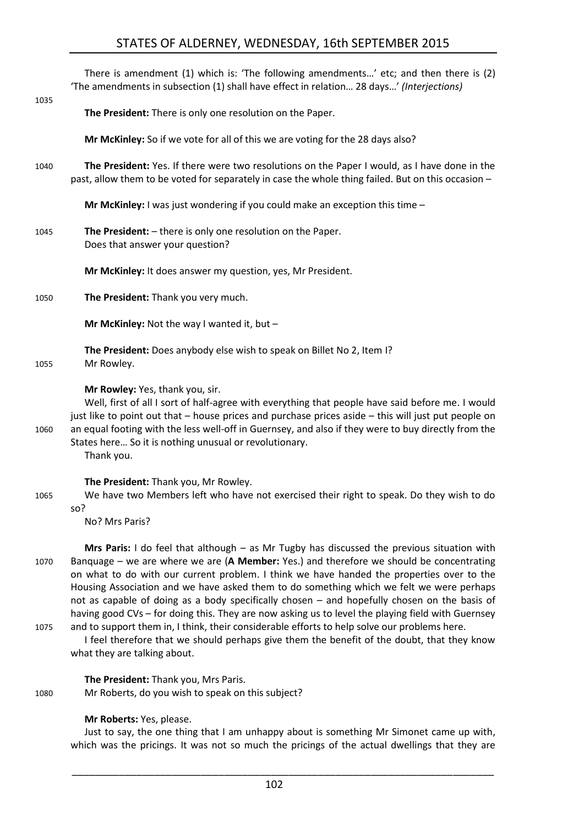# STATES OF ALDERNEY, WEDNESDAY, 16th SEPTEMBER 2015

|      | There is amendment (1) which is: 'The following amendments' etc; and then there is (2)<br>'The amendments in subsection (1) shall have effect in relation 28 days' (Interjections)                                                                                                                                                                                                                                        |
|------|---------------------------------------------------------------------------------------------------------------------------------------------------------------------------------------------------------------------------------------------------------------------------------------------------------------------------------------------------------------------------------------------------------------------------|
| 1035 | The President: There is only one resolution on the Paper.                                                                                                                                                                                                                                                                                                                                                                 |
|      | Mr McKinley: So if we vote for all of this we are voting for the 28 days also?                                                                                                                                                                                                                                                                                                                                            |
| 1040 | The President: Yes. If there were two resolutions on the Paper I would, as I have done in the<br>past, allow them to be voted for separately in case the whole thing failed. But on this occasion -                                                                                                                                                                                                                       |
|      | Mr McKinley: I was just wondering if you could make an exception this time $-$                                                                                                                                                                                                                                                                                                                                            |
| 1045 | The President: - there is only one resolution on the Paper.<br>Does that answer your question?                                                                                                                                                                                                                                                                                                                            |
|      | Mr McKinley: It does answer my question, yes, Mr President.                                                                                                                                                                                                                                                                                                                                                               |
| 1050 | The President: Thank you very much.                                                                                                                                                                                                                                                                                                                                                                                       |
|      | Mr McKinley: Not the way I wanted it, but $-$                                                                                                                                                                                                                                                                                                                                                                             |
| 1055 | The President: Does anybody else wish to speak on Billet No 2, Item I?<br>Mr Rowley.                                                                                                                                                                                                                                                                                                                                      |
| 1060 | Mr Rowley: Yes, thank you, sir.<br>Well, first of all I sort of half-agree with everything that people have said before me. I would<br>just like to point out that - house prices and purchase prices aside - this will just put people on<br>an equal footing with the less well-off in Guernsey, and also if they were to buy directly from the<br>States here So it is nothing unusual or revolutionary.<br>Thank you. |
| 1065 | The President: Thank you, Mr Rowley.<br>We have two Members left who have not exercised their right to speak. Do they wish to do<br>so?<br>No? Mrs Paris?                                                                                                                                                                                                                                                                 |
| 1070 | Mrs Paris: I do feel that although - as Mr Tugby has discussed the previous situation with<br>Banquage – we are where we are (A Member: Yes.) and therefore we should be concentrating                                                                                                                                                                                                                                    |

on what to do with our current problem. I think we have handed the properties over to the Housing Association and we have asked them to do something which we felt we were perhaps not as capable of doing as a body specifically chosen – and hopefully chosen on the basis of having good CVs – for doing this. They are now asking us to level the playing field with Guernsey 1075 and to support them in, I think, their considerable efforts to help solve our problems here.

I feel therefore that we should perhaps give them the benefit of the doubt, that they know what they are talking about.

**The President:** Thank you, Mrs Paris.

1080 Mr Roberts, do you wish to speak on this subject?

#### **Mr Roberts:** Yes, please.

Just to say, the one thing that I am unhappy about is something Mr Simonet came up with, which was the pricings. It was not so much the pricings of the actual dwellings that they are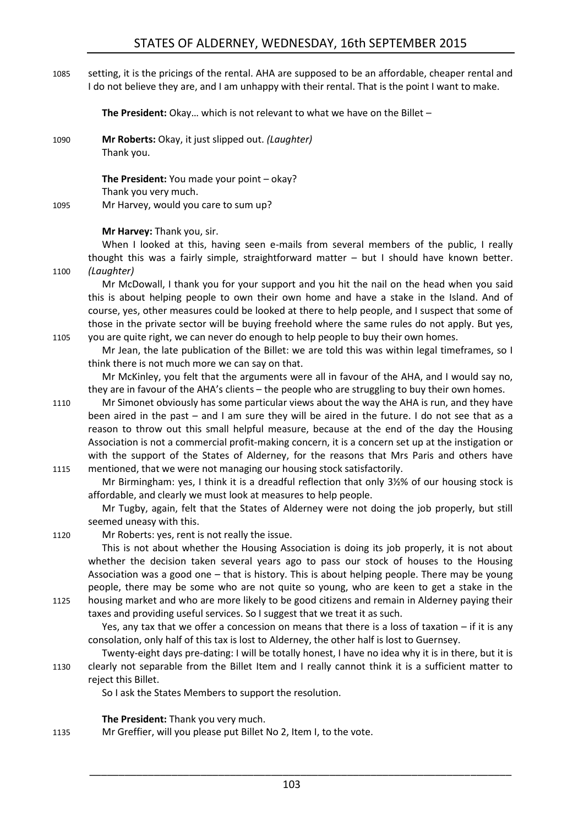# STATES OF ALDERNEY, WEDNESDAY, 16th SEPTEMBER 2015

1085 setting, it is the pricings of the rental. AHA are supposed to be an affordable, cheaper rental and I do not believe they are, and I am unhappy with their rental. That is the point I want to make.

**The President:** Okay… which is not relevant to what we have on the Billet –

1090 **Mr Roberts:** Okay, it just slipped out. *(Laughter)* Thank you.

**The President:** You made your point – okay? Thank you very much. 1095 Mr Harvey, would you care to sum up?

#### **Mr Harvey:** Thank you, sir.

When I looked at this, having seen e-mails from several members of the public. I really thought this was a fairly simple, straightforward matter – but I should have known better. 1100 *(Laughter)*

Mr McDowall, I thank you for your support and you hit the nail on the head when you said this is about helping people to own their own home and have a stake in the Island. And of course, yes, other measures could be looked at there to help people, and I suspect that some of those in the private sector will be buying freehold where the same rules do not apply. But yes, 1105 you are quite right, we can never do enough to help people to buy their own homes.

Mr Jean, the late publication of the Billet: we are told this was within legal timeframes, so I think there is not much more we can say on that.

Mr McKinley, you felt that the arguments were all in favour of the AHA, and I would say no, they are in favour of the AHA's clients – the people who are struggling to buy their own homes.

1110 Mr Simonet obviously has some particular views about the way the AHA is run, and they have been aired in the past – and I am sure they will be aired in the future. I do not see that as a reason to throw out this small helpful measure, because at the end of the day the Housing Association is not a commercial profit-making concern, it is a concern set up at the instigation or with the support of the States of Alderney, for the reasons that Mrs Paris and others have 1115 mentioned, that we were not managing our housing stock satisfactorily.

Mr Birmingham: yes, I think it is a dreadful reflection that only 3½% of our housing stock is affordable, and clearly we must look at measures to help people.

Mr Tugby, again, felt that the States of Alderney were not doing the job properly, but still seemed uneasy with this.

1120 Mr Roberts: yes, rent is not really the issue.

This is not about whether the Housing Association is doing its job properly, it is not about whether the decision taken several years ago to pass our stock of houses to the Housing Association was a good one – that is history. This is about helping people. There may be young people, there may be some who are not quite so young, who are keen to get a stake in the 1125 housing market and who are more likely to be good citizens and remain in Alderney paying their taxes and providing useful services. So I suggest that we treat it as such.

Yes, any tax that we offer a concession on means that there is a loss of taxation – if it is any consolation, only half of this tax is lost to Alderney, the other half is lost to Guernsey.

Twenty-eight days pre-dating: I will be totally honest, I have no idea why it is in there, but it is 1130 clearly not separable from the Billet Item and I really cannot think it is a sufficient matter to reject this Billet.

So I ask the States Members to support the resolution.

**The President:** Thank you very much.

1135 Mr Greffier, will you please put Billet No 2, Item I, to the vote.